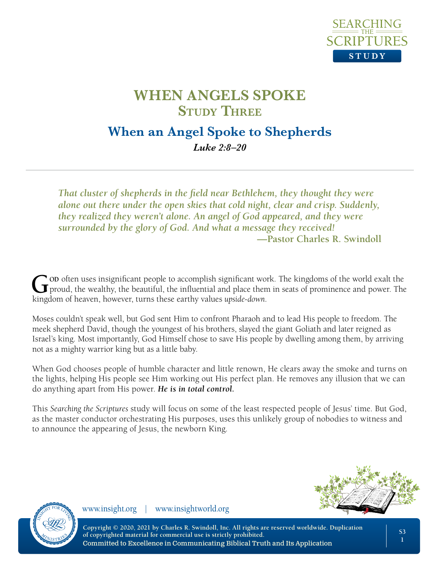

## **When an Angel Spoke to Shepherds** *Luke 2:8–20*

*That cluster of shepherds in the field near Bethlehem, they thought they were alone out there under the open skies that cold night, clear and crisp. Suddenly, they realized they weren't alone. An angel of God appeared, and they were surrounded by the glory of God. And what a message they received!* **—Pastor Charles R. Swindoll**

God often uses insignificant people to accomplish significant work. The kingdoms of the world exalt the proud, the wealthy, the beautiful, the influential and place them in seats of prominence and power. The binary of harm kingdom of heaven, however, turns these earthy values *upside-down*.

Moses couldn't speak well, but God sent Him to confront Pharaoh and to lead His people to freedom. The meek shepherd David, though the youngest of his brothers, slayed the giant Goliath and later reigned as Israel's king. Most importantly, God Himself chose to save His people by dwelling among them, by arriving not as a mighty warrior king but as a little baby.

When God chooses people of humble character and little renown, He clears away the smoke and turns on the lights, helping His people see Him working out His perfect plan. He removes any illusion that we can do anything apart from His power. *He is in total control.*

This *Searching the Scriptures* study will focus on some of the least respected people of Jesus' time. But God, as the master conductor orchestrating His purposes, uses this unlikely group of nobodies to witness and to announce the appearing of Jesus, the newborn King.





www.insight.org | www.insightworld.org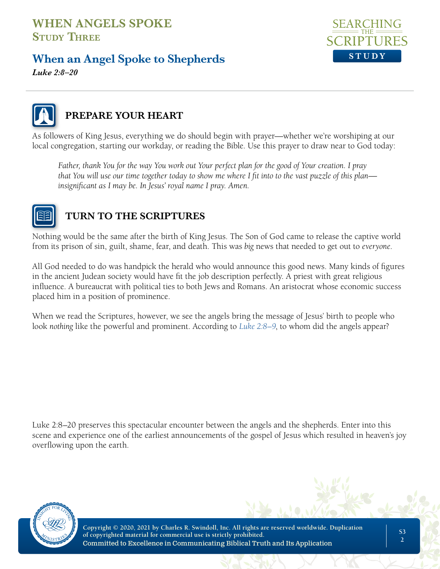## **When an Angel Spoke to Shepherds**



*Luke 2:8–20*



## **PREPARE YOUR HEART**

As followers of King Jesus, everything we do should begin with prayer—whether we're worshiping at our local congregation, starting our workday, or reading the Bible. Use this prayer to draw near to God today:

*Father, thank You for the way You work out Your perfect plan for the good of Your creation. I pray that You will use our time together today to show me where I fit into to the vast puzzle of this plan insignificant as I may be. In Jesus' royal name I pray. Amen.*



## **TURN TO THE SCRIPTURES**

Nothing would be the same after the birth of King Jesus. The Son of God came to release the captive world from its prison of sin, guilt, shame, fear, and death. This was *big* news that needed to get out to *everyone*.

All God needed to do was handpick the herald who would announce this good news. Many kinds of figures in the ancient Judean society would have fit the job description perfectly. A priest with great religious influence. A bureaucrat with political ties to both Jews and Romans. An aristocrat whose economic success placed him in a position of prominence.

When we read the Scriptures, however, we see the angels bring the message of Jesus' birth to people who look *nothing* like the powerful and prominent. According to *Luke 2:8–9*, to whom did the angels appear?

Luke 2:8–20 preserves this spectacular encounter between the angels and the shepherds. Enter into this scene and experience one of the earliest announcements of the gospel of Jesus which resulted in heaven's joy overflowing upon the earth.

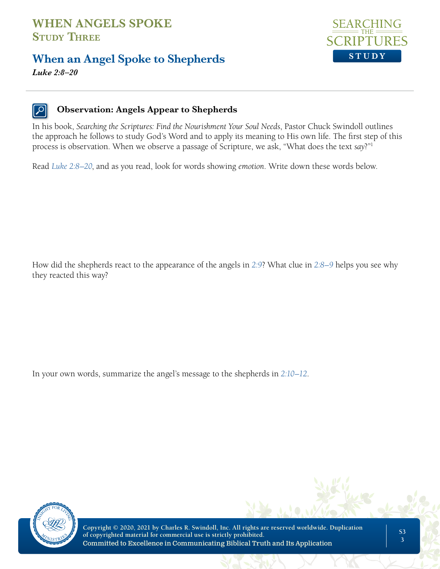## **When an Angel Spoke to Shepherds**



*Luke 2:8–20*

#### **Observation: Angels Appear to Shepherds**

In his book, *Searching the Scriptures: Find the Nourishment Your Soul Needs*, Pastor Chuck Swindoll outlines the approach he follows to study God's Word and to apply its meaning to His own life. The first step of this process is observation. When we observe a passage of Scripture, we ask, "What does the text *say*?"1

Read *Luke 2:8–20*, and as you read, look for words showing *emotion*. Write down these words below.

How did the shepherds react to the appearance of the angels in *2:9*? What clue in *2:8–9* helps you see why they reacted this way?

In your own words, summarize the angel's message to the shepherds in *2:10–12*.



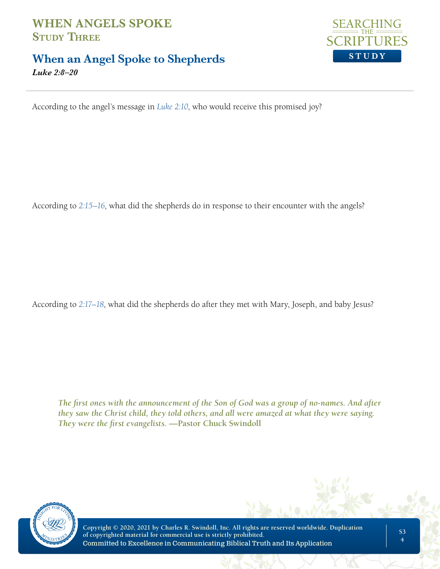## **When an Angel Spoke to Shepherds**



*Luke 2:8–20*

According to the angel's message in *Luke 2:10*, who would receive this promised joy?

According to *2:15–16*, what did the shepherds do in response to their encounter with the angels?

According to *2:17–18*, what did the shepherds do after they met with Mary, Joseph, and baby Jesus?

*The first ones with the announcement of the Son of God was a group of no-names. And after they saw the Christ child, they told others, and all were amazed at what they were saying. They were the first evangelists.* **—Pastor Chuck Swindoll**

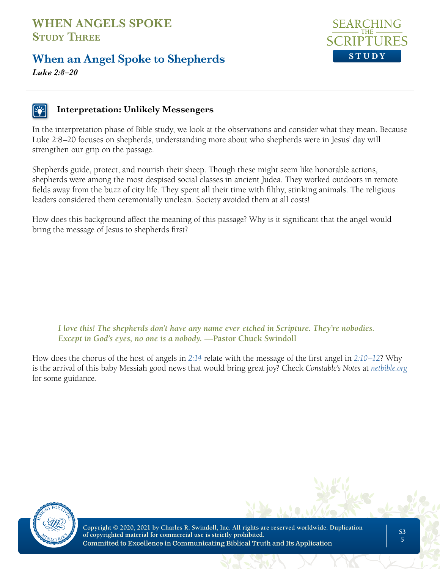## **When an Angel Spoke to Shepherds**



*Luke 2:8–20*

#### **Interpretation: Unlikely Messengers**

In the interpretation phase of Bible study, we look at the observations and consider what they mean. Because Luke 2:8–20 focuses on shepherds, understanding more about who shepherds were in Jesus' day will strengthen our grip on the passage.

Shepherds guide, protect, and nourish their sheep. Though these might seem like honorable actions, shepherds were among the most despised social classes in ancient Judea. They worked outdoors in remote fields away from the buzz of city life. They spent all their time with filthy, stinking animals. The religious leaders considered them ceremonially unclean. Society avoided them at all costs!

How does this background affect the meaning of this passage? Why is it significant that the angel would bring the message of Jesus to shepherds first?

*I love this! The shepherds don't have any name ever etched in Scripture. They're nobodies. Except in God's eyes, no one is a nobody.* **—Pastor Chuck Swindoll**

How does the chorus of the host of angels in *2:14* relate with the message of the first angel in *2:10–12*? Why is the arrival of this baby Messiah good news that would bring great joy? Check *Constable's Notes* at *netbible.org* for some guidance.

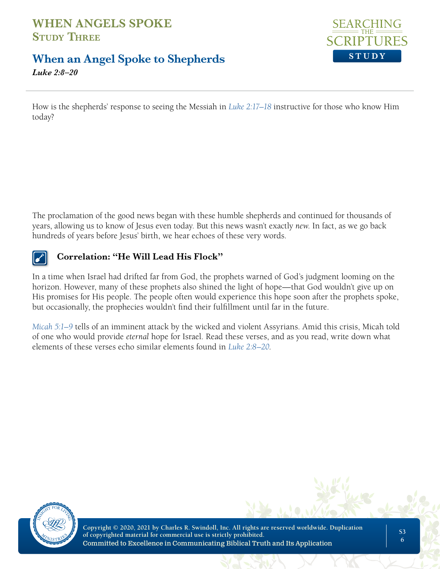## **When an Angel Spoke to Shepherds**



*Luke 2:8–20*

How is the shepherds' response to seeing the Messiah in *Luke 2:17–18* instructive for those who know Him today?

The proclamation of the good news began with these humble shepherds and continued for thousands of years, allowing us to know of Jesus even today. But this news wasn't exactly *new*. In fact, as we go back hundreds of years before Jesus' birth, we hear echoes of these very words.



#### **Correlation: "He Will Lead His Flock"**

In a time when Israel had drifted far from God, the prophets warned of God's judgment looming on the horizon. However, many of these prophets also shined the light of hope—that God wouldn't give up on His promises for His people. The people often would experience this hope soon after the prophets spoke, but occasionally, the prophecies wouldn't find their fulfillment until far in the future.

*Micah 5:1–9* tells of an imminent attack by the wicked and violent Assyrians. Amid this crisis, Micah told of one who would provide *eternal* hope for Israel. Read these verses, and as you read, write down what elements of these verses echo similar elements found in *Luke 2:8–20*.

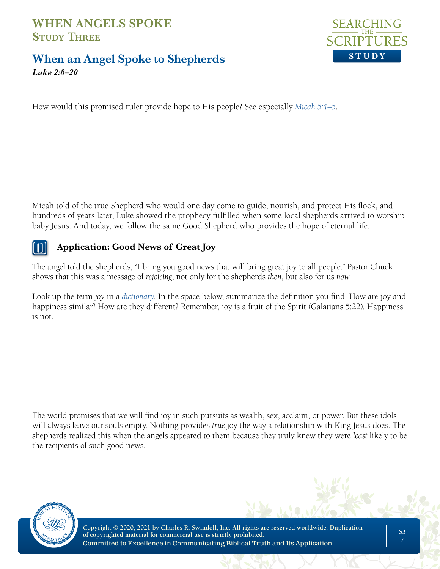## **When an Angel Spoke to Shepherds**



*Luke 2:8–20*

How would this promised ruler provide hope to His people? See especially *Micah 5:4–5*.

Micah told of the true Shepherd who would one day come to guide, nourish, and protect His flock, and hundreds of years later, Luke showed the prophecy fulfilled when some local shepherds arrived to worship baby Jesus. And today, we follow the same Good Shepherd who provides the hope of eternal life.

### **Application: Good News of Great Joy**

The angel told the shepherds, "I bring you good news that will bring great joy to all people." Pastor Chuck shows that this was a message of *rejoicing*, not only for the shepherds *then*, but also for us *now*.

Look up the term *joy* in a *dictionary*. In the space below, summarize the definition you find. How are joy and happiness similar? How are they different? Remember, joy is a fruit of the Spirit (Galatians 5:22). Happiness is not.

The world promises that we will find joy in such pursuits as wealth, sex, acclaim, or power. But these idols will always leave our souls empty. Nothing provides *true* joy the way a relationship with King Jesus does. The shepherds realized this when the angels appeared to them because they truly knew they were *least* likely to be the recipients of such good news.